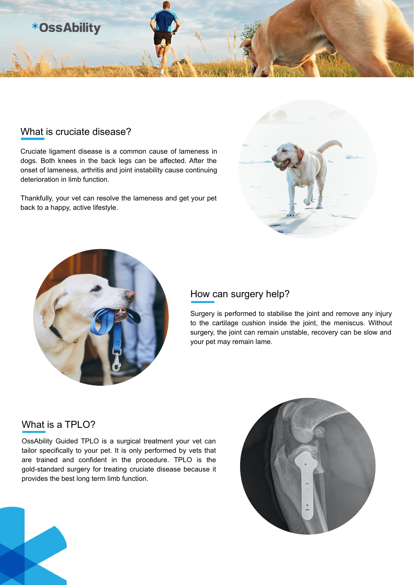# **\*OssAbility**

#### What is cruciate disease?

Cruciate ligament disease is a common cause of lameness in dogs. Both knees in the back legs can be affected. After the onset of lameness, arthritis and joint instability cause continuing deterioration in limb function.

Thankfully, your vet can resolve the lameness and get your pet back to a happy, active lifestyle.





## How can surgery help?

Surgery is performed to stabilise the joint and remove any injury to the cartilage cushion inside the joint, the meniscus. Without surgery, the joint can remain unstable, recovery can be slow and your pet may remain lame.

## What is a TPLO?

OssAbility Guided TPLO is a surgical treatment your vet can tailor specifically to your pet. It is only performed by vets that are trained and confident in the procedure. TPLO is the gold-standard surgery for treating cruciate disease because it provides the best long term limb function.